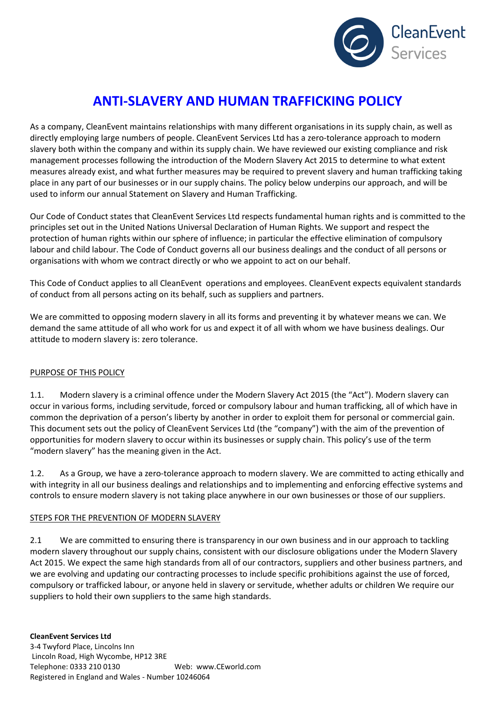

# **ANTI-SLAVERY AND HUMAN TRAFFICKING POLICY**

As a company, CleanEvent maintains relationships with many different organisations in its supply chain, as well as directly employing large numbers of people. CleanEvent Services Ltd has a zero-tolerance approach to modern slavery both within the company and within its supply chain. We have reviewed our existing compliance and risk management processes following the introduction of the Modern Slavery Act 2015 to determine to what extent measures already exist, and what further measures may be required to prevent slavery and human trafficking taking place in any part of our businesses or in our supply chains. The policy below underpins our approach, and will be used to inform our annual Statement on Slavery and Human Trafficking.

Our Code of Conduct states that CleanEvent Services Ltd respects fundamental human rights and is committed to the principles set out in the United Nations Universal Declaration of Human Rights. We support and respect the protection of human rights within our sphere of influence; in particular the effective elimination of compulsory labour and child labour. The Code of Conduct governs all our business dealings and the conduct of all persons or organisations with whom we contract directly or who we appoint to act on our behalf.

This Code of Conduct applies to all CleanEvent operations and employees. CleanEvent expects equivalent standards of conduct from all persons acting on its behalf, such as suppliers and partners.

We are committed to opposing modern slavery in all its forms and preventing it by whatever means we can. We demand the same attitude of all who work for us and expect it of all with whom we have business dealings. Our attitude to modern slavery is: zero tolerance.

## PURPOSE OF THIS POLICY

1.1. Modern slavery is a criminal offence under the Modern Slavery Act 2015 (the "Act"). Modern slavery can occur in various forms, including servitude, forced or compulsory labour and human trafficking, all of which have in common the deprivation of a person's liberty by another in order to exploit them for personal or commercial gain. This document sets out the policy of CleanEvent Services Ltd (the "company") with the aim of the prevention of opportunities for modern slavery to occur within its businesses or supply chain. This policy's use of the term "modern slavery" has the meaning given in the Act.

1.2. As a Group, we have a zero-tolerance approach to modern slavery. We are committed to acting ethically and with integrity in all our business dealings and relationships and to implementing and enforcing effective systems and controls to ensure modern slavery is not taking place anywhere in our own businesses or those of our suppliers.

## STEPS FOR THE PREVENTION OF MODERN SLAVERY

2.1 We are committed to ensuring there is transparency in our own business and in our approach to tackling modern slavery throughout our supply chains, consistent with our disclosure obligations under the Modern Slavery Act 2015. We expect the same high standards from all of our contractors, suppliers and other business partners, and we are evolving and updating our contracting processes to include specific prohibitions against the use of forced, compulsory or trafficked labour, or anyone held in slavery or servitude, whether adults or children We require our suppliers to hold their own suppliers to the same high standards.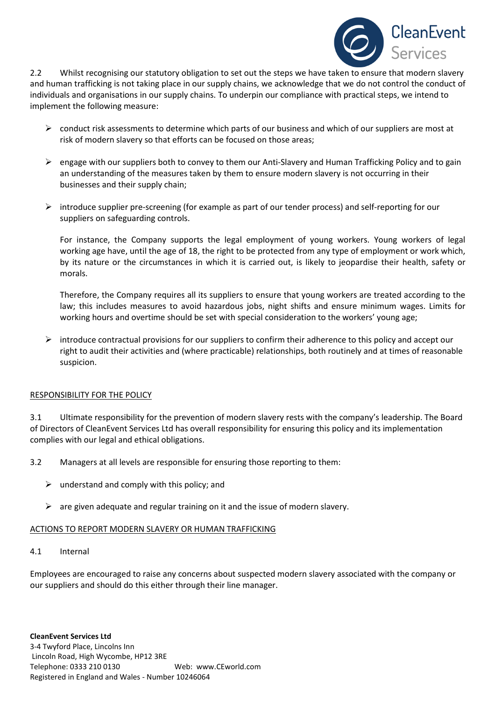

2.2 Whilst recognising our statutory obligation to set out the steps we have taken to ensure that modern slavery and human trafficking is not taking place in our supply chains, we acknowledge that we do not control the conduct of individuals and organisations in our supply chains. To underpin our compliance with practical steps, we intend to implement the following measure:

- $\triangleright$  conduct risk assessments to determine which parts of our business and which of our suppliers are most at risk of modern slavery so that efforts can be focused on those areas;
- engage with our suppliers both to convey to them our Anti-Slavery and Human Trafficking Policy and to gain an understanding of the measures taken by them to ensure modern slavery is not occurring in their businesses and their supply chain;
- $\triangleright$  introduce supplier pre-screening (for example as part of our tender process) and self-reporting for our suppliers on safeguarding controls.

For instance, the Company supports the legal employment of young workers. Young workers of legal working age have, until the age of 18, the right to be protected from any type of employment or work which, by its nature or the circumstances in which it is carried out, is likely to jeopardise their health, safety or morals.

Therefore, the Company requires all its suppliers to ensure that young workers are treated according to the law; this includes measures to avoid hazardous jobs, night shifts and ensure minimum wages. Limits for working hours and overtime should be set with special consideration to the workers' young age;

 $\triangleright$  introduce contractual provisions for our suppliers to confirm their adherence to this policy and accept our right to audit their activities and (where practicable) relationships, both routinely and at times of reasonable suspicion.

#### RESPONSIBILITY FOR THE POLICY

3.1 Ultimate responsibility for the prevention of modern slavery rests with the company's leadership. The Board of Directors of CleanEvent Services Ltd has overall responsibility for ensuring this policy and its implementation complies with our legal and ethical obligations.

- 3.2 Managers at all levels are responsible for ensuring those reporting to them:
	- $\triangleright$  understand and comply with this policy; and
	- $\triangleright$  are given adequate and regular training on it and the issue of modern slavery.

#### ACTIONS TO REPORT MODERN SLAVERY OR HUMAN TRAFFICKING

4.1 Internal

Employees are encouraged to raise any concerns about suspected modern slavery associated with the company or our suppliers and should do this either through their line manager.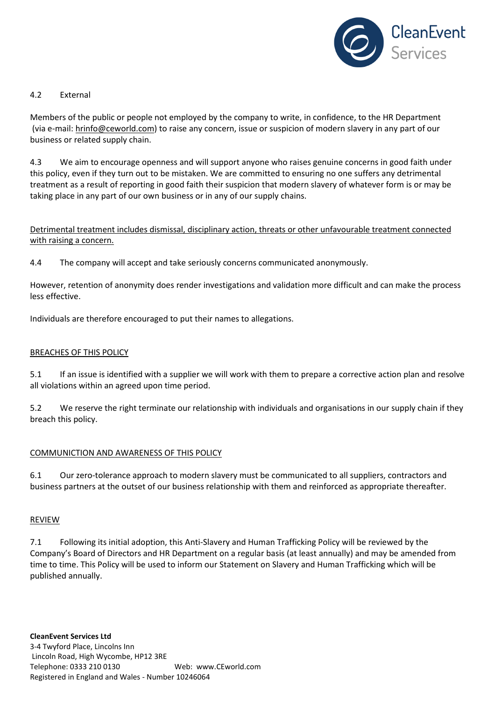

### 4.2 External

Members of the public or people not employed by the company to write, in confidence, to the HR Department (via e-mail: hrinfo@ceworld.com) to raise any concern, issue or suspicion of modern slavery in any part of our business or related supply chain.

4.3 We aim to encourage openness and will support anyone who raises genuine concerns in good faith under this policy, even if they turn out to be mistaken. We are committed to ensuring no one suffers any detrimental treatment as a result of reporting in good faith their suspicion that modern slavery of whatever form is or may be taking place in any part of our own business or in any of our supply chains.

Detrimental treatment includes dismissal, disciplinary action, threats or other unfavourable treatment connected with raising a concern.

4.4 The company will accept and take seriously concerns communicated anonymously.

However, retention of anonymity does render investigations and validation more difficult and can make the process less effective.

Individuals are therefore encouraged to put their names to allegations.

#### BREACHES OF THIS POLICY

5.1 If an issue is identified with a supplier we will work with them to prepare a corrective action plan and resolve all violations within an agreed upon time period.

5.2 We reserve the right terminate our relationship with individuals and organisations in our supply chain if they breach this policy.

#### COMMUNICTION AND AWARENESS OF THIS POLICY

6.1 Our zero-tolerance approach to modern slavery must be communicated to all suppliers, contractors and business partners at the outset of our business relationship with them and reinforced as appropriate thereafter.

#### REVIEW

7.1 Following its initial adoption, this Anti-Slavery and Human Trafficking Policy will be reviewed by the Company's Board of Directors and HR Department on a regular basis (at least annually) and may be amended from time to time. This Policy will be used to inform our Statement on Slavery and Human Trafficking which will be published annually.